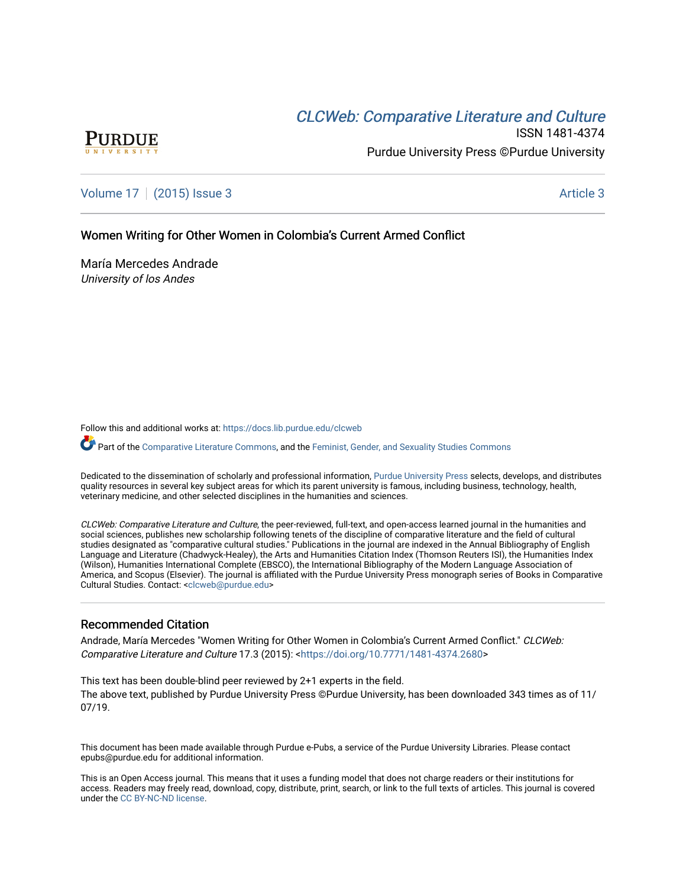# CLCW[eb: Comparative Liter](https://docs.lib.purdue.edu/clcweb)ature and Culture



ISSN 1481-4374 Purdue University Press ©Purdue University

[Volume 17](https://docs.lib.purdue.edu/clcweb/vol17) | [\(2015\) Issue 3](https://docs.lib.purdue.edu/clcweb/vol17/iss3) Article 3

Women Writing for Other Women in Colombia's Current Armed Conflict

María Mercedes Andrade University of los Andes

Follow this and additional works at: [https://docs.lib.purdue.edu/clcweb](https://docs.lib.purdue.edu/clcweb?utm_source=docs.lib.purdue.edu%2Fclcweb%2Fvol17%2Fiss3%2F3&utm_medium=PDF&utm_campaign=PDFCoverPages)

Part of the [Comparative Literature Commons,](http://network.bepress.com/hgg/discipline/454?utm_source=docs.lib.purdue.edu%2Fclcweb%2Fvol17%2Fiss3%2F3&utm_medium=PDF&utm_campaign=PDFCoverPages) and the [Feminist, Gender, and Sexuality Studies Commons](http://network.bepress.com/hgg/discipline/559?utm_source=docs.lib.purdue.edu%2Fclcweb%2Fvol17%2Fiss3%2F3&utm_medium=PDF&utm_campaign=PDFCoverPages)

Dedicated to the dissemination of scholarly and professional information, [Purdue University Press](http://www.thepress.purdue.edu/) selects, develops, and distributes quality resources in several key subject areas for which its parent university is famous, including business, technology, health, veterinary medicine, and other selected disciplines in the humanities and sciences.

CLCWeb: Comparative Literature and Culture, the peer-reviewed, full-text, and open-access learned journal in the humanities and social sciences, publishes new scholarship following tenets of the discipline of comparative literature and the field of cultural studies designated as "comparative cultural studies." Publications in the journal are indexed in the Annual Bibliography of English Language and Literature (Chadwyck-Healey), the Arts and Humanities Citation Index (Thomson Reuters ISI), the Humanities Index (Wilson), Humanities International Complete (EBSCO), the International Bibliography of the Modern Language Association of America, and Scopus (Elsevier). The journal is affiliated with the Purdue University Press monograph series of Books in Comparative Cultural Studies. Contact: [<clcweb@purdue.edu](mailto:clcweb@purdue.edu)>

### Recommended Citation

Andrade, María Mercedes "Women Writing for Other Women in Colombia's Current Armed Conflict." CLCWeb: Comparative Literature and Culture 17.3 (2015): <<https://doi.org/10.7771/1481-4374.2680>>

This text has been double-blind peer reviewed by 2+1 experts in the field. The above text, published by Purdue University Press ©Purdue University, has been downloaded 343 times as of 11/ 07/19.

This document has been made available through Purdue e-Pubs, a service of the Purdue University Libraries. Please contact epubs@purdue.edu for additional information.

This is an Open Access journal. This means that it uses a funding model that does not charge readers or their institutions for access. Readers may freely read, download, copy, distribute, print, search, or link to the full texts of articles. This journal is covered under the [CC BY-NC-ND license.](https://creativecommons.org/licenses/by-nc-nd/4.0/)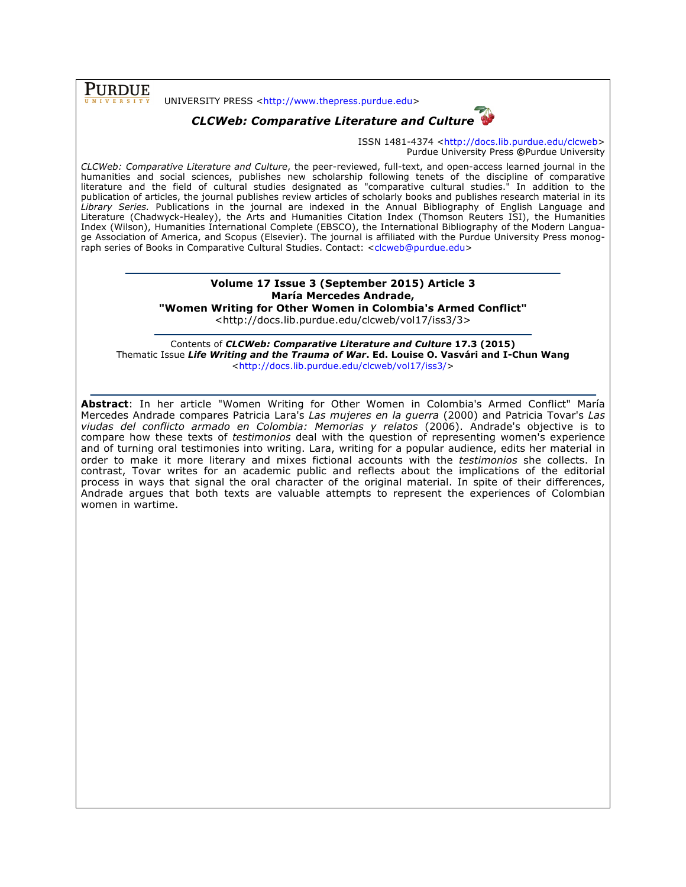**PURDUE** 

#### UNIVERSITY PRESS <http://www.thepress.purdue.edu>



ISSN 1481-4374 <http://docs.lib.purdue.edu/clcweb> Purdue University Press **©**Purdue University

*CLCWeb: Comparative Literature and Culture*, the peer-reviewed, full-text, and open-access learned journal in the humanities and social sciences, publishes new scholarship following tenets of the discipline of comparative literature and the field of cultural studies designated as "comparative cultural studies." In addition to the publication of articles, the journal publishes review articles of scholarly books and publishes research material in its *Library Series.* Publications in the journal are indexed in the Annual Bibliography of English Language and Literature (Chadwyck-Healey), the Arts and Humanities Citation Index (Thomson Reuters ISI), the Humanities Index (Wilson), Humanities International Complete (EBSCO), the International Bibliography of the Modern Language Association of America, and Scopus (Elsevier). The journal is affiliated with the Purdue University Press monograph series of Books in Comparative Cultural Studies. Contact: <clcweb@purdue.edu>

## **Volume 17 Issue 3 (September 2015) Article 3 María Mercedes Andrade,**

**"Women Writing for Other Women in Colombia's Armed Conflict"**

<http://docs.lib.purdue.edu/clcweb/vol17/iss3/3>

Contents of *CLCWeb: Comparative Literature and Culture* **17.3 (2015)** Thematic Issue *Life Writing and the Trauma of War***. Ed. Louise O. Vasvári and I-Chun Wang** <http://docs.lib.purdue.edu/clcweb/vol17/iss3/>

**Abstract**: In her article "Women Writing for Other Women in Colombia's Armed Conflict" María Mercedes Andrade compares Patricia Lara's *Las mujeres en la guerra* (2000) and Patricia Tovar's *Las viudas del conflicto armado en Colombia: Memorias y relatos* (2006). Andrade's objective is to compare how these texts of *testimonios* deal with the question of representing women's experience and of turning oral testimonies into writing. Lara, writing for a popular audience, edits her material in order to make it more literary and mixes fictional accounts with the *testimonios* she collects. In contrast, Tovar writes for an academic public and reflects about the implications of the editorial process in ways that signal the oral character of the original material. In spite of their differences, Andrade argues that both texts are valuable attempts to represent the experiences of Colombian women in wartime.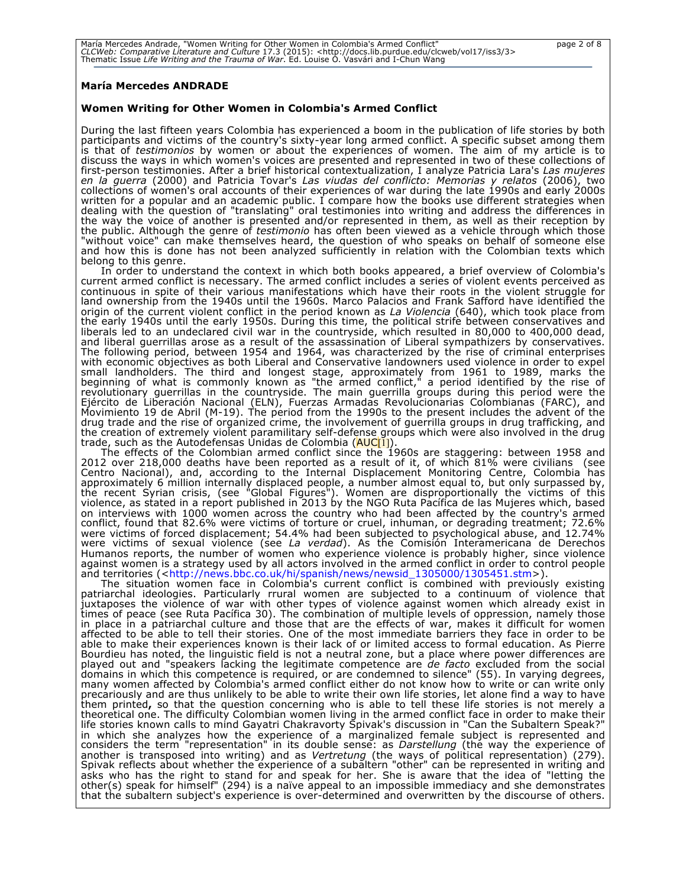### **María Mercedes ANDRADE**

### **Women Writing for Other Women in Colombia's Armed Conflict**

During the last fifteen years Colombia has experienced a boom in the publication of life stories by both participants and victims of the country's sixty-year long armed conflict. A specific subset among them is that of *testimonios* by women or about the experiences of women. The aim of my article is to discuss the ways in which women's voices are presented and represented in two of these collections of first-person testimonies. After a brief historical contextualization, I analyze Patricia Lara's *Las mujeres en la guerra* (2000) and Patricia Tovar's *Las viudas del conflicto: Memorias y relatos* (2006), two collections of women's oral accounts of their experiences of war during the late 1990s and early 2000s written for a popular and an academic public. I compare how the books use different strategies when dealing with the question of "translating" oral testimonies into writing and address the differences in the way the voice of another is presented and/or represented in them, as well as their reception by the public. Although the genre of *testimonio* has often been viewed as a vehicle through which those "without voice" can make themselves heard, the question of who speaks on behalf of someone else and how this is done has not been analyzed sufficiently in relation with the Colombian texts which belong to this genre.

In order to understand the context in which both books appeared, a brief overview of Colombia's current armed conflict is necessary. The armed conflict includes a series of violent events perceived as continuous in spite of their various manifestations which have their roots in the violent struggle for land ownership from the 1940s until the 1960s. Marco Palacios and Frank Safford have identified the origin of the current violent conflict in the period known as *La Violencia* (640), which took place from the early 1940s until the early 1950s. During this time, the political strife between conservatives and<br>liberals led to an undeclared civil war in the countryside, which resulted in 80,000 to 400,000 dead, and liberal guerrillas arose as a result of the assassination of Liberal sympathizers by conservatives. The following period, between 1954 and 1964, was characterized by the rise of criminal enterprises with economic objectives as both Liberal and Conservative landowners used violence in order to expel small landholders. The third and longest stage, approximately from 1961 to 1989, marks the beginning of what is commonly known as "the armed conflict," a period identified by the rise of revolutionary guerrillas in the countryside. The main guerrilla groups during this period were the Ejército de Liberación Nacional (ELN), Fuerzas Armadas Revolucionarias Colombianas (FARC), and Movimiento 19 de Abril (M-19). The period from the 1990s to the present includes the advent of the drug trade and the rise of organized crime, the involvement of guerrilla groups in drug trafficking, and the creation of extremely violent paramilitary self-defense groups which were also involved in the drug trade, such as the Autodefensas Unidas de Colombia (<mark>AUC</mark>[1]).

The effects of the Colombian armed conflict since the 1960s are staggering: between 1958 and 2012 over 218,000 deaths have been reported as a result of it, of which 81% were civilians (see Centro Nacional), and, according to the Internal Displacement Monitoring Centre, Colombia has approximately 6 million internally displaced people, a number almost equal to, but only surpassed by, the recent Syrian crisis, (see "Global Figures"). Women are disproportionally the victims of this violence, as stated in a report published in 2013 by the NGO Ruta Pacífica de las Mujeres which, based on interviews with 1000 women across the country who had been affected by the country's armed conflict, found that 82.6% were victims of torture or cruel, inhuman, or degrading treatment; 72.6% were victims of forced displacement; 54.4% had been subjected to psychological abuse, and 12.74% were victims of sexual violence (see *La verdad*). As the Comisión Interamericana de Derechos Humanos reports, the number of women who experience violence is probably higher, since violence against women is a strategy used by all actors involved in the armed conflict in order to control people and territories (<http://news.bbc.co.uk/hi/spanish/news/newsid\_1305000/1305451.stm>).

The situation women face in Colombia's current conflict is combined with previously existing patriarchal ideologies. Particularly rrural women are subjected to a continuum of violence that juxtaposes the violence of war with other types of violence against women which already exist in times of peace (see Ruta Pacífica 30). The combination of multiple levels of oppression, namely those in place in a patriarchal culture and those that are the effects of war, makes it difficult for women affected to be able to tell their stories. One of the most immediate barriers they face in order to be able to make their experiences known is their lack of or limited access to formal education. As Pierre Bourdieu has noted, the linguistic field is not a neutral zone, but a place where power differences are played out and "speakers lacking the legitimate competence are *de facto* excluded from the social domains in which this competence is required, or are condemned to silence" (55). In varying degrees, many women affected by Colombia's armed conflict either do not know how to write or can write only precariously and are thus unlikely to be able to write their own life stories, let alone find a way to have them printed, so that the question concerning who is able to tell these life stories is not merely a theoretical one. The difficulty Colombian women living in the armed conflict face in order to make their life stories known calls to mind Gayatri Chakravorty Spivak's discussion in "Can the Subaltern Speak?" in which she analyzes how the experience of a marginalized female subject is represented and considers the term "representation" in its double sense: as *Darstellung* (the way the experience of another is transposed into writing) and as *Vertretung* (the ways of political representation) (279). Spivak reflects about whether the experience of a subaltern "other" can be represented in writing and asks who has the right to stand for and speak for her. She is aware that the idea of "letting the other(s) speak for himself" (294) is a naïve appeal to an impossible immediacy and she demonstrates that the subaltern subject's experience is over-determined and overwritten by the discourse of others.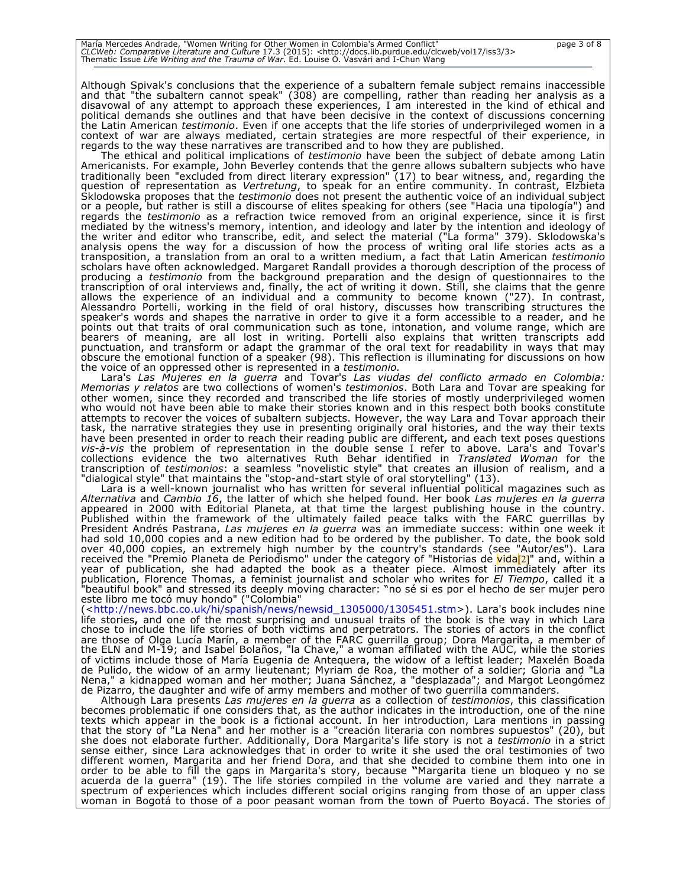Although Spivak's conclusions that the experience of a subaltern female subject remains inaccessible and that "the subaltern cannot speak" (308) are compelling, rather than reading her analysis as a disavowal of any attempt to approach these experiences, I am interested in the kind of ethical and political demands she outlines and that have been decisive in the context of discussions concerning the Latin American *testimonio*. Even if one accepts that the life stories of underprivileged women in a context of war are always mediated, certain strategies are more respectful of their experience, in regards to the way these narratives are transcribed and to how they are published.

The ethical and political implications of *testimonio* have been the subject of debate among Latin Americanists. For example, John Beverley contends that the genre allows subaltern subjects who have traditionally been "excluded from direct literary expression" (17) to bear witness, and, regarding the question of representation as *Vertretung*, to speak for an entire community. In contrast, Elzbieta Sklodowska proposes that the *testimonio* does not present the authentic voice of an individual subject or a people, but rather is still a discourse of elites speaking for others (see "Hacia una tipología") and regards the *testimonio* as a refraction twice removed from an original experience, since it is first mediated by the witness's memory, intention, and ideology and later by the intention and ideology of the writer and editor who transcribe, edit, and select the material ("La forma" 379). Sklodowska's analysis opens the way for a discussion of how the process of writing oral life stories acts as a transposition, a translation from an oral to a written medium, a fact that Latin American *testimonio* scholars have often acknowledged. Margaret Randall provides a thorough description of the process of producing a *testimonio* from the background preparation and the design of questionnaires to the transcription of oral interviews and, finally, the act of writing it down. Still, she claims that the genre allows the experience of an individual and a community to become known ("27). In contrast, Alessandro Portelli, working in the field of oral history, discusses how transcribing structures the speaker's words and shapes the narrative in order to give it a form accessible to a reader, and he points out that traits of oral communication such as tone, intonation, and volume range, which are bearers of meaning, are all lost in writing. Portelli also explains that written transcripts add punctuation, and transform or adapt the grammar of the oral text for readability in ways that may obscure the emotional function of a speaker (98). This reflection is illuminating for discussions on how the voice of an oppressed other is represented in a *testimonio.*

Lara's *Las Mujeres en la guerra* and Tovar's *Las viudas del conflicto armado en Colombia: Memorias y relatos* are two collections of women's *testimonios*. Both Lara and Tovar are speaking for other women, since they recorded and transcribed the life stories of mostly underprivileged women who would not have been able to make their stories known and in this respect both books constitute attempts to recover the voices of subaltern subjects. However, the way Lara and Tovar approach their task, the narrative strategies they use in presenting originally oral histories, and the way their texts have been presented in order to reach their reading public are different**,** and each text poses questions *vis-à-vis* the problem of representation in the double sense I refer to above. Lara's and Tovar's collections evidence the two alternatives Ruth Behar identified in *Translated Woman* for the transcription of *testimonios*: a seamless "novelistic style" that creates an illusion of realism, and a "dialogical style" that maintains the "stop-and-start style of oral storytelling" (13).

Lara is a well-known journalist who has written for several influential political magazines such as *Alternativa* and *Cambio 16*, the latter of which she helped found. Her book *Las mujeres en la guerra* appeared in 2000 with Editorial Planeta, at that time the largest publishing house in the country. Published within the framework of the ultimately failed peace talks with the FARC guerrillas by President Andrés Pastrana, *Las mujeres en la guerra* was an immediate success: within one week it had sold 10,000 copies and a new edition had to be ordered by the publisher. To date, the book sold over 40,000 copies, an extremely high number by the country's standards (see "Autor/es"). Lara received the "Premio Planeta de Periodismo" under the category of "Historias de <mark>vida</mark>[2]" and, within a year of publication, she had adapted the book as a theater piece. Almost immediately after its publication, Florence Thomas, a feminist journalist and scholar who writes for *El Tiempo*, called it a "beautiful book" and stressed its deeply moving character: "no sé si es por el hecho de ser mujer pero este libro me tocó muy hondo" ("Colombia"

(<http://news.bbc.co.uk/hi/spanish/news/newsid\_1305000/1305451.stm>). Lara's book includes nine life stories**,** and one of the most surprising and unusual traits of the book is the way in which Lara chose to include the life stories of both victims and perpetrators. The stories of actors in the conflict are those of Olga Lucía Marín, a member of the FARC guerrilla group; Dora Margarita, a member of the ELN and M-19; and Isabel Bolaños, "la Chave," a woman affiliated with the AUC, while the stories of victims include those of María Eugenia de Antequera, the widow of a leftist leader; Maxelén Boada de Pulido, the widow of an army lieutenant; Myriam de Roa, the mother of a soldier; Gloria and "La Nena," a kidnapped woman and her mother; Juana Sánchez, a "desplazada"; and Margot Leongómez de Pizarro, the daughter and wife of army members and mother of two guerrilla commanders.

Although Lara presents *Las mujeres en la guerra* as a collection of *testimonios*, this classification becomes problematic if one considers that, as the author indicates in the introduction, one of the nine texts which appear in the book is a fictional account. In her introduction, Lara mentions in passing that the story of "La Nena" and her mother is a "creación literaria con nombres supuestos" (20), but she does not elaborate further. Additionally, Dora Margarita's life story is not a *testimonio* in a strict sense either, since Lara acknowledges that in order to write it she used the oral testimonies of two different women, Margarita and her friend Dora, and that she decided to combine them into one in order to be able to fill the gaps in Margarita's story, because **"**Margarita tiene un bloqueo y no se acuerda de la guerra" (19). The life stories compiled in the volume are varied and they narrate a spectrum of experiences which includes different social origins ranging from those of an upper class woman in Bogotá to those of a poor peasant woman from the town of Puerto Boyacá. The stories of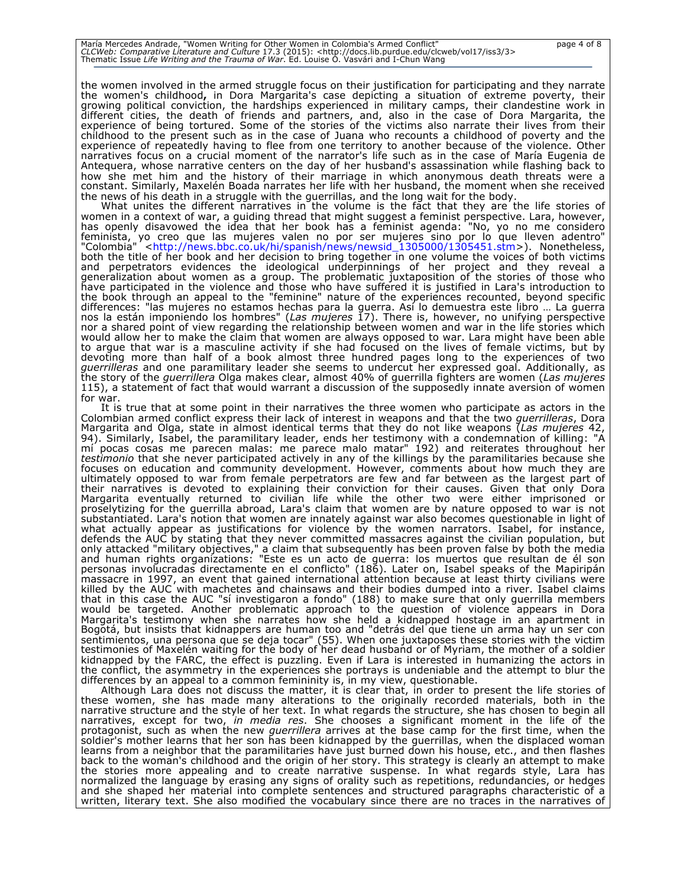the women involved in the armed struggle focus on their justification for participating and they narrate the women's childhood**,** in Dora Margarita's case depicting a situation of extreme poverty, their growing political conviction, the hardships experienced in military camps, their clandestine work in different cities, the death of friends and partners, and, also in the case of Dora Margarita, the experience of being tortured. Some of the stories of the victims also narrate their lives from their childhood to the present such as in the case of Juana who recounts a childhood of poverty and the experience of repeatedly having to flee from one territory to another because of the violence. Other narratives focus on a crucial moment of the narrator's life such as in the case of María Eugenia de Antequera, whose narrative centers on the day of her husband's assassination while flashing back to how she met him and the history of their marriage in which anonymous death threats were a constant. Similarly, Maxelén Boada narrates her life with her husband, the moment when she received the news of his death in a struggle with the guerrillas, and the long wait for the body.

What unites the different narratives in the volume is the fact that they are the life stories of women in a context of war, a guiding thread that might suggest a feminist perspective. Lara, however, has openly disavowed the idea that her book has a feminist agenda: "No, yo no me considero feminista, yo creo que las mujeres valen no por ser mujeres sino por lo que lleven adentro" "Colombia" <http://news.bbc.co.uk/hi/spanish/news/newsid\_1305000/1305451.stm>). Nonetheless, both the title of her book and her decision to bring together in one volume the voices of both victims and perpetrators evidences the ideological underpinnings of her project and they reveal a generalization about women as a group. The problematic juxtaposition of the stories of those who have participated in the violence and those who have suffered it is justified in Lara's introduction to the book through an appeal to the "feminine" nature of the experiences recounted, beyond specific differences: "las mujeres no estamos hechas para la guerra. Así lo demuestra este libro … La guerra nos la están imponiendo los hombres" (*Las mujeres* 17). There is, however, no unifying perspective nor a shared point of view regarding the relationship between women and war in the life stories which would allow her to make the claim that women are always opposed to war. Lara might have been able to argue that war is a masculine activity if she had focused on the lives of female victims, but by devoting more than half of a book almost three hundred pages long to the experiences of two *guerrilleras* and one paramilitary leader she seems to undercut her expressed goal. Additionally, as the story of the *guerrillera* Olga makes clear, almost 40% of guerrilla fighters are women (*Las mujeres* 115), a statement of fact that would warrant a discussion of the supposedly innate aversion of women for war.

It is true that at some point in their narratives the three women who participate as actors in the Colombian armed conflict express their lack of interest in weapons and that the two *guerrilleras*, Dora Margarita and Olga, state in almost identical terms that they do not like weapons (*Las mujeres* 42, 94). Similarly, Isabel, the paramilitary leader, ends her testimony with a condemnation of killing: "A mí pocas cosas me parecen malas: me parece malo matar" 192) and reiterates throughout her *testimonio* that she never participated actively in any of the killings by the paramilitaries because she focuses on education and community development. However, comments about how much they are ultimately opposed to war from female perpetrators are few and far between as the largest part of their narratives is devoted to explaining their conviction for their causes. Given that only Dora Margarita eventually returned to civilian life while the other two were either imprisoned or proselytizing for the guerrilla abroad, Lara's claim that women are by nature opposed to war is not substantiated. Lara's notion that women are innately against war also becomes questionable in light of what actually appear as justifications for violence by the women narrators. Isabel, for instance, defends the AUC by stating that they never committed massacres against the civilian population, but only attacked "military objectives," a claim that subsequently has been proven false by both the media and human rights organizations: "Este es un acto de guerra: los muertos que resultan de él son personas involucradas directamente en el conflicto" (186). Later on, Isabel speaks of the Mapiripán massacre in 1997, an event that gained international attention because at least thirty civilians were killed by the AUC with machetes and chainsaws and their bodies dumped into a river. Isabel claims that in this case the AUC "sí investigaron a fondo" (188) to make sure that only guerrilla members would be targeted. Another problematic approach to the question of violence appears in Dora Margarita's testimony when she narrates how she held a kidnapped hostage in an apartment in<br>Bogotá, but insists that kidnappers are human too and "detrás del que tiene un arma hay un ser con sentimientos, una persona que se deja tocar" (55). When one juxtaposes these stories with the victim testimonies of Maxelén waiting for the body of her dead husband or of Myriam, the mother of a soldier kidnapped by the FARC, the effect is puzzling. Even if Lara is interested in humanizing the actors in the conflict, the asymmetry in the experiences she portrays is undeniable and the attempt to blur the

differences by an appeal to a common femininity is, in my view, questionable. Although Lara does not discuss the matter, it is clear that, in order to present the life stories of these women, she has made many alterations to the originally recorded materials, both in the narrative structure and the style of her text. In what regards the structure, she has chosen to begin all narratives, except for two, *in media res*. She chooses a significant moment in the life of the protagonist, such as when the new *guerrillera* arrives at the base camp for the first time, when the soldier's mother learns that her son has been kidnapped by the guerrillas, when the displaced woman learns from a neighbor that the paramilitaries have just burned down his house, etc., and then flashes back to the woman's childhood and the origin of her story. This strategy is clearly an attempt to make the stories more appealing and to create narrative suspense. In what regards style, Lara has normalized the language by erasing any signs of orality such as repetitions, redundancies, or hedges and she shaped her material into complete sentences and structured paragraphs characteristic of a written, literary text. She also modified the vocabulary since there are no traces in the narratives of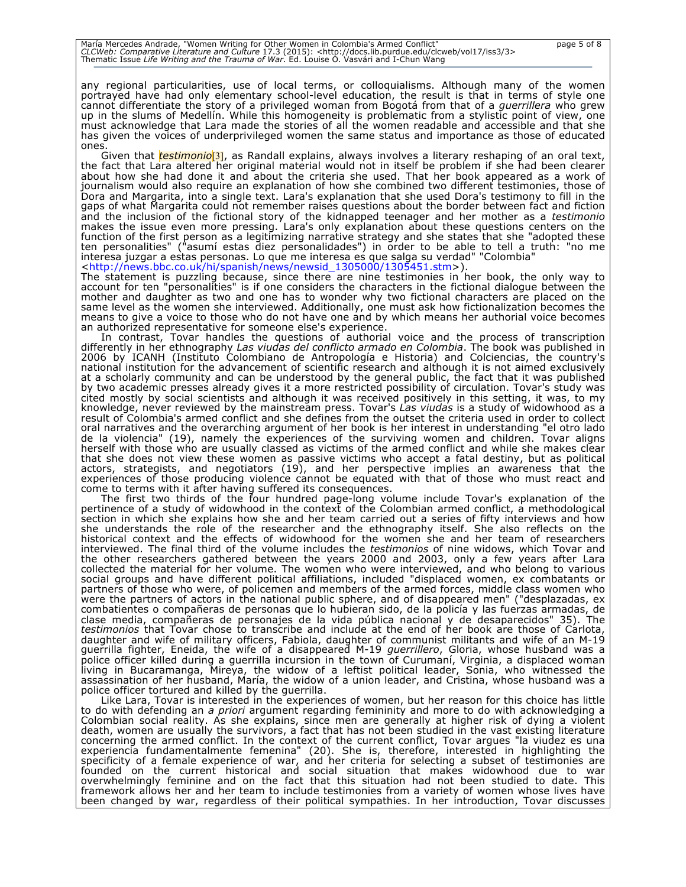any regional particularities, use of local terms, or colloquialisms. Although many of the women portrayed have had only elementary school-level education, the result is that in terms of style one cannot differentiate the story of a privileged woman from Bogotá from that of a *guerrillera* who grew up in the slums of Medellín. While this homogeneity is problematic from a stylistic point of view, one must acknowledge that Lara made the stories of all the women readable and accessible and that she has given the voices of underprivileged women the same status and importance as those of educated ones.

Given that *testimonio*[3], as Randall explains, always involves a literary reshaping of an oral text, the fact that Lara altered her original material would not in itself be problem if she had been clearer about how she had done it and about the criteria she used. That her book appeared as a work of journalism would also require an explanation of how she combined two different testimonies, those of Dora and Margarita, into a single text. Lara's explanation that she used Dora's testimony to fill in the gaps of what Margarita could not remember raises questions about the border between fact and fiction and the inclusion of the fictional story of the kidnapped teenager and her mother as a *testimonio* makes the issue even more pressing. Lara's only explanation about these questions centers on the function of the first person as a legitimizing narrative strategy and she states that she "adopted these ten personalities" ("asumí estas diez personalidades") in order to be able to tell a truth: "no me interesa juzgar a estas personas. Lo que me interesa es que salga su verdad" "Colombia" <http://news.bbc.co.uk/hi/spanish/news/newsid\_1305000/1305451.stm>).

The statement is puzzling because, since there are nine testimonies in her book, the only way to account for ten "personalities" is if one considers the characters in the fictional dialogue between the mother and daughter as two and one has to wonder why two fictional characters are placed on the same level as the women she interviewed. Additionally, one must ask how fictionalization becomes the means to give a voice to those who do not have one and by which means her authorial voice becomes

an authorized representative for someone else's experience. In contrast, Tovar handles the questions of authorial voice and the process of transcription differently in her ethnography *Las viudas del conflicto armado en Colombia*. The book was published in 2006 by ICANH (Instituto Colombiano de Antropología e Historia) and Colciencias, the country's national institution for the advancement of scientific research and although it is not aimed exclusively at a scholarly community and can be understood by the general public, the fact that it was published by two academic presses already gives it a more restricted possibility of circulation. Tovar's study was cited mostly by social scientists and although it was received positively in this setting, it was, to my knowledge, never reviewed by the mainstream press. Tovar's *Las viudas* is a study of widowhood as a result of Colombia's armed conflict and she defines from the outset the criteria used in order to collect oral narratives and the overarching argument of her book is her interest in understanding "el otro lado de la violencia" (19), namely the experiences of the surviving women and children. Tovar aligns herself with those who are usually classed as victims of the armed conflict and while she makes clear that she does not view these women as passive victims who accept a fatal destiny, but as political actors, strategists, and negotiators (19), and her perspective implies an awareness that the experiences of those producing violence cannot be equated with that of those who must react and come to terms with it after having suffered its consequences.

The first two thirds of the four hundred page-long volume include Tovar's explanation of the pertinence of a study of widowhood in the context of the Colombian armed conflict, a methodological section in which she explains how she and her team carried out a series of fifty interviews and how she understands the role of the researcher and the ethnography itself. She also reflects on the historical context and the effects of widowhood for the women she and her team of researchers interviewed. The final third of the volume includes the *testimonios* of nine widows, which Tovar and the other researchers gathered between the years 2000 and 2003, only a few years after Lara collected the material for her volume. The women who were interviewed, and who belong to various social groups and have different political affiliations, included "displaced women, ex combatants or partners of those who were, of policemen and members of the armed forces, middle class women who were the partners of actors in the national public sphere, and of disappeared men" ("desplazadas, ex combatientes o compañeras de personas que lo hubieran sido, de la policía y las fuerzas armadas, de clase media, compañeras de personajes de la vida pública nacional y de desaparecidos" 35). The *testimonios* that Tovar chose to transcribe and include at the end of her book are those of Carlota, daughter and wife of military officers, Fabiola, daughter of communist militants and wife of an M-19 guerrilla fighter, Eneida, the wife of a disappeared M-19 *guerrillero*, Gloria, whose husband was a police officer killed during a guerrilla incursion in the town of Curumaní, Virginia, a displaced woman living in Bucaramanga, Mireya, the widow of a leftist political leader, Sonia, who witnessed the assassination of her husband, María, the widow of a union leader, and Cristina, whose husband was a police officer tortured and killed by the guerrilla.

Like Lara, Tovar is interested in the experiences of women, but her reason for this choice has little to do with defending an *a priori* argument regarding femininity and more to do with acknowledging a Colombian social reality. As she explains, since men are generally at higher risk of dying a violent death, women are usually the survivors, a fact that has not been studied in the vast existing literature concerning the armed conflict. In the context of the current conflict, Tovar argues "la viudez es una experiencia fundamentalmente femenina" (20). She is, therefore, interested in highlighting the specificity of a female experience of war, and her criteria for selecting a subset of testimonies are founded on the current historical and social situation that makes widowhood due to war overwhelmingly feminine and on the fact that this situation had not been studied to date. This framework allows her and her team to include testimonies from a variety of women whose lives have been changed by war, regardless of their political sympathies. In her introduction, Tovar discusses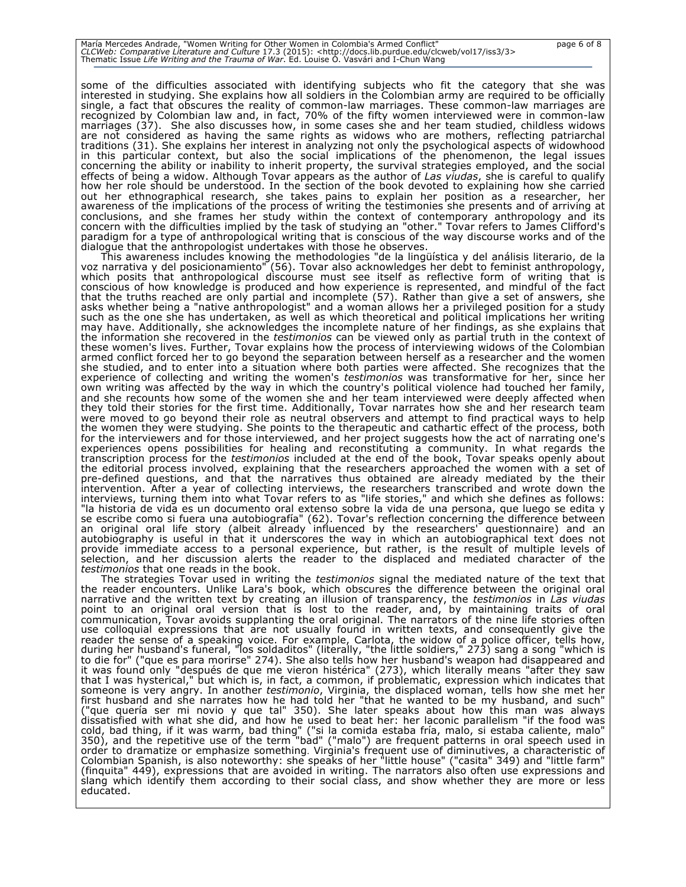some of the difficulties associated with identifying subjects who fit the category that she was interested in studying. She explains how all soldiers in the Colombian army are required to be officially single, a fact that obscures the reality of common-law marriages. These common-law marriages are recognized by Colombian law and, in fact, 70% of the fifty women interviewed were in common-law marriages (37). She also discusses how, in some cases she and her team studied, childless widows are not considered as having the same rights as widows who are mothers, reflecting patriarchal traditions (31). She explains her interest in analyzing not only the psychological aspects of widowhood in this particular context, but also the social implications of the phenomenon, the legal issues concerning the ability or inability to inherit property, the survival strategies employed, and the social effects of being a widow. Although Tovar appears as the author of *Las viudas*, she is careful to qualify how her role should be understood. In the section of the book devoted to explaining how she carried out her ethnographical research, she takes pains to explain her position as a researcher, her awareness of the implications of the process of writing the testimonies she presents and of arriving at conclusions, and she frames her study within the context of contemporary anthropology and its concern with the difficulties implied by the task of studying an "other." Tovar refers to James Clifford's paradigm for a type of anthropological writing that is conscious of the way discourse works and of the dialogue that the anthropologist undertakes with those he observes.

This awareness includes knowing the methodologies "de la lingüística y del análisis literario, de la voz narrativa y del posicionamiento" (56). Tovar also acknowledges her debt to feminist anthropology, which posits that anthropological discourse must see itself as reflective form of writing that is conscious of how knowledge is produced and how experience is represented, and mindful of the fact that the truths reached are only partial and incomplete (57). Rather than give a set of answers, she asks whether being a "native anthropologist" and a woman allows her a privileged position for a study such as the one she has undertaken, as well as which theoretical and political implications her writing may have. Additionally, she acknowledges the incomplete nature of her findings, as she explains that the information she recovered in the *testimonios* can be viewed only as partial truth in the context of these women's lives. Further, Tovar explains how the process of interviewing widows of the Colombian armed conflict forced her to go beyond the separation between herself as a researcher and the women she studied, and to enter into a situation where both parties were affected. She recognizes that the experience of collecting and writing the women's *testimonios* was transformative for her, since her own writing was affected by the way in which the country's political violence had touched her family, and she recounts how some of the women she and her team interviewed were deeply affected when they told their stories for the first time. Additionally, Tovar narrates how she and her research team were moved to go beyond their role as neutral observers and attempt to find practical ways to help the women they were studying. She points to the therapeutic and cathartic effect of the process, both for the interviewers and for those interviewed, and her project suggests how the act of narrating one's experiences opens possibilities for healing and reconstituting a community. In what regards the transcription process for the *testimonios* included at the end of the book, Tovar speaks openly about the editorial process involved, explaining that the researchers approached the women with a set of pre-defined questions, and that the narratives thus obtained are already mediated by the their intervention. After a year of collecting interviews, the researchers transcribed and wrote down the interviews, turning them into what Tovar refers to as "life stories," and which she defines as follows: "la historia de vida es un documento oral extenso sobre la vida de una persona, que luego se edita y se escribe como si fuera una autobiografía" (62). Tovar's reflection concerning the difference between an original oral life story (albeit already influenced by the researchers' questionnaire) and an autobiography is useful in that it underscores the way in which an autobiographical text does not provide immediate access to a personal experience, but rather, is the result of multiple levels of selection, and her discussion alerts the reader to the displaced and mediated character of the *testimonios* that one reads in the book.

The strategies Tovar used in writing the *testimonios* signal the mediated nature of the text that the reader encounters. Unlike Lara's book, which obscures the difference between the original oral narrative and the written text by creating an illusion of transparency, the *testimonios* in *Las viudas*  point to an original oral version that is lost to the reader, and, by maintaining traits of oral communication, Tovar avoids supplanting the oral original. The narrators of the nine life stories often use colloquial expressions that are not usually found in written texts, and consequently give the reader the sense of a speaking voice. For example, Carlota, the widow of a police officer, tells how, during her husband's funeral, "los soldaditos" (literally, "the little soldiers," 273) sang a song "which is to die for" ("que es para morirse" 274). She also tells how her husband's weapon had disappeared and it was found only "después de que me vieron histérica" (273), which literally means "after they saw that I was hysterical," but which is, in fact, a common, if problematic, expression which indicates that someone is very angry. In another *testimonio*, Virginia, the displaced woman, tells how she met her first husband and she narrates how he had told her "that he wanted to be my husband, and such" ("que quería ser mi novio y que tal" 350). She later speaks about how this man was always dissatisfied with what she did, and how he used to beat her: her laconic parallelism "if the food was cold, bad thing, if it was warm, bad thing" ("si la comida estaba fría, malo, si estaba caliente, malo" 350), and the repetitive use of the term "bad" ("malo") are frequent patterns in oral speech used in order to dramatize or emphasize something. Virginia's frequent use of diminutives, a characteristic of Colombian Spanish, is also noteworthy: she speaks of her "little house" ("casita" 349) and "little farm" (finquita" 449), expressions that are avoided in writing. The narrators also often use expressions and slang which identify them according to their social class, and show whether they are more or less educated.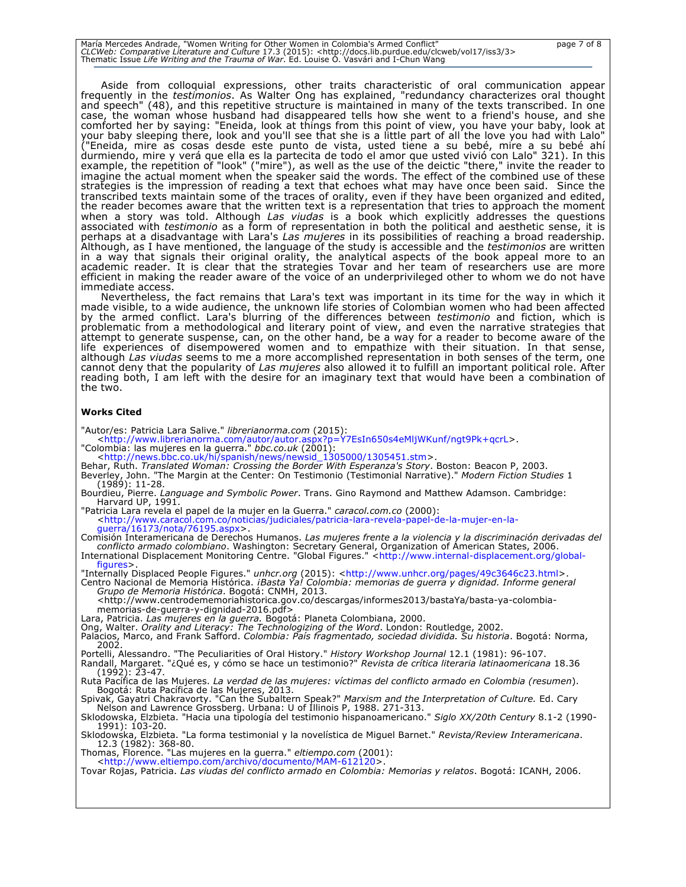María Mercedes Andrade, "Women Writing for Other Women in Colombia's Armed Conflict"<br>*CLCWeb: Comparative Literature and Culture 17.3* (2015): <http://docs.lib.purdue.edu/clcweb/vol17/iss3/3><br>Thematic Issue *Life Writing a* 

Aside from colloquial expressions, other traits characteristic of oral communication appear frequently in the *testimonios*. As Walter Ong has explained, "redundancy characterizes oral thought and speech" (48), and this repetitive structure is maintained in many of the texts transcribed. In one case, the woman whose husband had disappeared tells how she went to a friend's house, and she comforted her by saying: "Eneida, look at things from this point of view, you have your baby, look at your baby sleeping there, look and you'll see that she is a little part of all the love you had with Lalo"<br>("Eneida, mire as cosas desde este punto de vista, usted tiene a su bebé, mire a su bebé ahí durmiendo, mire y verá que ella es la partecita de todo el amor que usted vivió con Lalo" 321). In this example, the repetition of "look" ("mire"), as well as the use of the deictic "there," invite the reader to imagine the actual moment when the speaker said the words. The effect of the combined use of these strategies is the impression of reading a text that echoes what may have once been said. Since the transcribed texts maintain some of the traces of orality, even if they have been organized and edited, the reader becomes aware that the written text is a representation that tries to approach the moment when a story was told. Although *Las viudas* is a book which explicitly addresses the questions associated with *testimonio* as a form of representation in both the political and aesthetic sense, it is perhaps at a disadvantage with Lara's *Las mujeres* in its possibilities of reaching a broad readership. Although, as I have mentioned, the language of the study is accessible and the *testimonios* are written in a way that signals their original orality, the analytical aspects of the book appeal more to an academic reader. It is clear that the strategies Tovar and her team of researchers use are more efficient in making the reader aware of the voice of an underprivileged other to whom we do not have immediate access.

Nevertheless, the fact remains that Lara's text was important in its time for the way in which it made visible, to a wide audience, the unknown life stories of Colombian women who had been affected by the armed conflict. Lara's blurring of the differences between *testimonio* and fiction, which is problematic from a methodological and literary point of view, and even the narrative strategies that attempt to generate suspense, can, on the other hand, be a way for a reader to become aware of the life experiences of disempowered women and to empathize with their situation. In that sense, although *Las viudas* seems to me a more accomplished representation in both senses of the term, one cannot deny that the popularity of *Las mujeres* also allowed it to fulfill an important political role. After reading both, I am left with the desire for an imaginary text that would have been a combination of the two.

### **Works Cited**

"Autor/es: Patricia Lara Salive." *librerianorma.com* (2015):

<http://www.librerianorma.com/autor/autor.aspx?p=Y7EsIn650s4eMljWKunf/ngt9Pk+qcrL>.

- "Colombia: las mujeres en la guerra." *bbc.co.uk* (2001):<br>\thtp://news.bbc.co.uk/hi/spanish/news/newsid\_1305000/1305451.stm>.<br>Behar, Ruth. *Translated Woman: Crossing the Border With Esperanza's Story*. Boston: Beacon P, 2 Beverley, John. "The Margin at the Center: On Testimonio (Testimonial Narrative)." *Modern Fiction Studies* 1 (1989): 11-28.
- Bourdieu, Pierre. *Language and Symbolic Power*. Trans. Gino Raymond and Matthew Adamson. Cambridge: Harvard UP, 1991.<br>"Patricia Lara revela el papel de la mujer en la Guerra." caracol.com.co (2000):
- "Patricia Lara revela el papel de la mujer en la Guerra." *caracol.com.co* (2000): <http://www.caracol.com.co/noticias/judiciales/patricia-lara-revela-papel-de-la-mujer-en-laguerra/16173/nota/76195.aspx>.

Comisión Interamericana de Derechos Humanos. *Las mujeres frente a la violencia y la discriminación derivadas del conflicto armado colombiano*. Washington: Secretary General, Organization of American States, 2006. International Displacement Monitoring Centre. "Global Figures." <http://www.internal-displacement.org/globalfigures:

"Internally Displaced People Figures." *unhcr.org* (2015): <http://www.unhcr.org/pages/49c3646c23.html>. Centro Nacional de Memoria Histórica. *¡Basta Ya! Colombia: memorias de guerra y dignidad. Informe general Grupo de Memoria Histórica*. Bogotá: CNMH, 2013.

<http://www.centrodememoriahistorica.gov.co/descargas/informes2013/bastaYa/basta-ya-colombia-

memorias-de-guerra-y-dignidad-2016.pdf><br>Lara, Patricia. *Las mujeres en la guerra.* Bogotá: Planeta Colombiana, 2000.<br>Ong, Walter. *Orality and Literacy: The Technologizing of the Word*. London: Routledge, 2002.

Palacios, Marco, and Frank Safford. *Colombia: País fragmentado, sociedad dividida. Su historia*. Bogotá: Norma, 2002.

Portelli, Alessandro. "The Peculiarities of Oral History." *History Workshop Journal* 12.1 (1981): 96-107.

Randall, Margaret. "¿Qué es, y cómo se hace un testimonio?" *Revista de crítica literaria latinaomericana* 18.36 (1992): 23-47.

Ruta Pacífica de las Mujeres. *La verdad de las mujeres: víctimas del conflicto armado en Colombia (resumen*). Bogotá: Ruta Pacífica de las Mujeres, 2013.<br>Spivak, Gayatri Chakravorty. "Can the Subaltern Speak?" Marxism and the Interpretation of Culture. Ed. Cary<br>Nelson and Lawrence Grossberg. Urbana: U of Illinois P, 1988. 271-313.

Sklodowska, Elzbieta. "Hacia una tipología del testimonio hispanoamericano." *Siglo XX/20th Century* 8.1-2 (1990- 1991): 103-20.

Sklodowska, Elzbieta. "La forma testimonial y la novelística de Miguel Barnet." *Revista/Review Interamericana*. 12.3 (1982): 368-80.

Thomas, Florence. "Las mujeres en la guerra." *eltiempo.com* (2001):

<http://www.eltiempo.com/archivo/documento/MAM-612120>.

Tovar Rojas, Patricia. *Las viudas del conflicto armado en Colombia: Memorias y relatos*. Bogotá: ICANH, 2006.